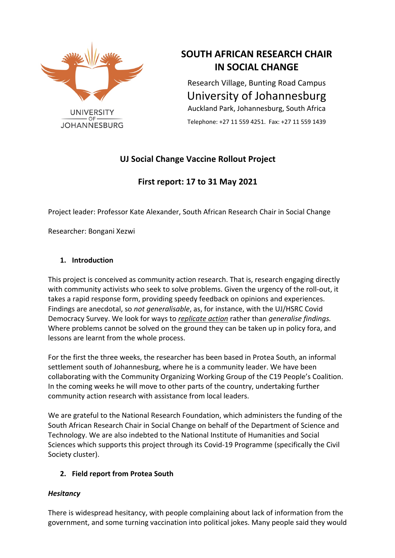

# **SOUTH AFRICAN RESEARCH CHAIR IN SOCIAL CHANGE**

Research Village, Bunting Road Campus University of Johannesburg Auckland Park, Johannesburg, South Africa

Telephone: +27 11 559 4251. Fax: +27 11 559 1439

# **UJ Social Change Vaccine Rollout Project**

# **First report: 17 to 31 May 2021**

Project leader: Professor Kate Alexander, South African Research Chair in Social Change

Researcher: Bongani Xezwi

# **1. Introduction**

This project is conceived as community action research. That is, research engaging directly with community activists who seek to solve problems. Given the urgency of the roll-out, it takes a rapid response form, providing speedy feedback on opinions and experiences. Findings are anecdotal, so *not generalisable*, as, for instance, with the UJ/HSRC Covid Democracy Survey. We look for ways to *replicate action* rather than *generalise findings.* Where problems cannot be solved on the ground they can be taken up in policy fora, and lessons are learnt from the whole process.

For the first the three weeks, the researcher has been based in Protea South, an informal settlement south of Johannesburg, where he is a community leader. We have been collaborating with the Community Organizing Working Group of the C19 People's Coalition. In the coming weeks he will move to other parts of the country, undertaking further community action research with assistance from local leaders.

We are grateful to the National Research Foundation, which administers the funding of the South African Research Chair in Social Change on behalf of the Department of Science and Technology. We are also indebted to the National Institute of Humanities and Social Sciences which supports this project through its Covid-19 Programme (specifically the Civil Society cluster).

# **2. Field report from Protea South**

# *Hesitancy*

There is widespread hesitancy, with people complaining about lack of information from the government, and some turning vaccination into political jokes. Many people said they would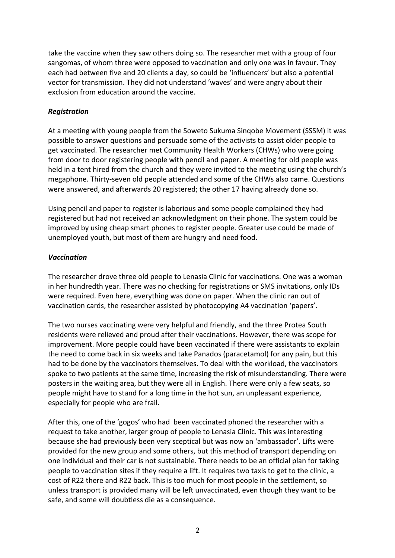take the vaccine when they saw others doing so. The researcher met with a group of four sangomas, of whom three were opposed to vaccination and only one was in favour. They each had between five and 20 clients a day, so could be 'influencers' but also a potential vector for transmission. They did not understand 'waves' and were angry about their exclusion from education around the vaccine.

#### *Registration*

At a meeting with young people from the Soweto Sukuma Sinqobe Movement (SSSM) it was possible to answer questions and persuade some of the activists to assist older people to get vaccinated. The researcher met Community Health Workers (CHWs) who were going from door to door registering people with pencil and paper. A meeting for old people was held in a tent hired from the church and they were invited to the meeting using the church's megaphone. Thirty-seven old people attended and some of the CHWs also came. Questions were answered, and afterwards 20 registered; the other 17 having already done so.

Using pencil and paper to register is laborious and some people complained they had registered but had not received an acknowledgment on their phone. The system could be improved by using cheap smart phones to register people. Greater use could be made of unemployed youth, but most of them are hungry and need food.

#### *Vaccination*

The researcher drove three old people to Lenasia Clinic for vaccinations. One was a woman in her hundredth year. There was no checking for registrations or SMS invitations, only IDs were required. Even here, everything was done on paper. When the clinic ran out of vaccination cards, the researcher assisted by photocopying A4 vaccination 'papers'.

The two nurses vaccinating were very helpful and friendly, and the three Protea South residents were relieved and proud after their vaccinations. However, there was scope for improvement. More people could have been vaccinated if there were assistants to explain the need to come back in six weeks and take Panados (paracetamol) for any pain, but this had to be done by the vaccinators themselves. To deal with the workload, the vaccinators spoke to two patients at the same time, increasing the risk of misunderstanding. There were posters in the waiting area, but they were all in English. There were only a few seats, so people might have to stand for a long time in the hot sun, an unpleasant experience, especially for people who are frail.

After this, one of the 'gogos' who had been vaccinated phoned the researcher with a request to take another, larger group of people to Lenasia Clinic. This was interesting because she had previously been very sceptical but was now an 'ambassador'. Lifts were provided for the new group and some others, but this method of transport depending on one individual and their car is not sustainable. There needs to be an official plan for taking people to vaccination sites if they require a lift. It requires two taxis to get to the clinic, a cost of R22 there and R22 back. This is too much for most people in the settlement, so unless transport is provided many will be left unvaccinated, even though they want to be safe, and some will doubtless die as a consequence.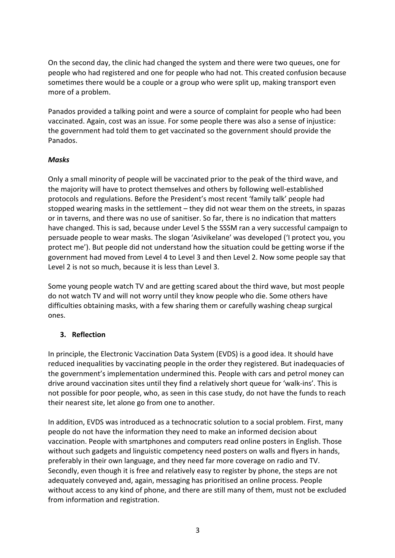On the second day, the clinic had changed the system and there were two queues, one for people who had registered and one for people who had not. This created confusion because sometimes there would be a couple or a group who were split up, making transport even more of a problem.

Panados provided a talking point and were a source of complaint for people who had been vaccinated. Again, cost was an issue. For some people there was also a sense of injustice: the government had told them to get vaccinated so the government should provide the Panados.

#### *Masks*

Only a small minority of people will be vaccinated prior to the peak of the third wave, and the majority will have to protect themselves and others by following well-established protocols and regulations. Before the President's most recent 'family talk' people had stopped wearing masks in the settlement – they did not wear them on the streets, in spazas or in taverns, and there was no use of sanitiser. So far, there is no indication that matters have changed. This is sad, because under Level 5 the SSSM ran a very successful campaign to persuade people to wear masks. The slogan 'Asivikelane' was developed ('I protect you, you protect me'). But people did not understand how the situation could be getting worse if the government had moved from Level 4 to Level 3 and then Level 2. Now some people say that Level 2 is not so much, because it is less than Level 3.

Some young people watch TV and are getting scared about the third wave, but most people do not watch TV and will not worry until they know people who die. Some others have difficulties obtaining masks, with a few sharing them or carefully washing cheap surgical ones.

# **3. Reflection**

In principle, the Electronic Vaccination Data System (EVDS) is a good idea. It should have reduced inequalities by vaccinating people in the order they registered. But inadequacies of the government's implementation undermined this. People with cars and petrol money can drive around vaccination sites until they find a relatively short queue for 'walk-ins'. This is not possible for poor people, who, as seen in this case study, do not have the funds to reach their nearest site, let alone go from one to another.

In addition, EVDS was introduced as a technocratic solution to a social problem. First, many people do not have the information they need to make an informed decision about vaccination. People with smartphones and computers read online posters in English. Those without such gadgets and linguistic competency need posters on walls and flyers in hands, preferably in their own language, and they need far more coverage on radio and TV. Secondly, even though it is free and relatively easy to register by phone, the steps are not adequately conveyed and, again, messaging has prioritised an online process. People without access to any kind of phone, and there are still many of them, must not be excluded from information and registration.